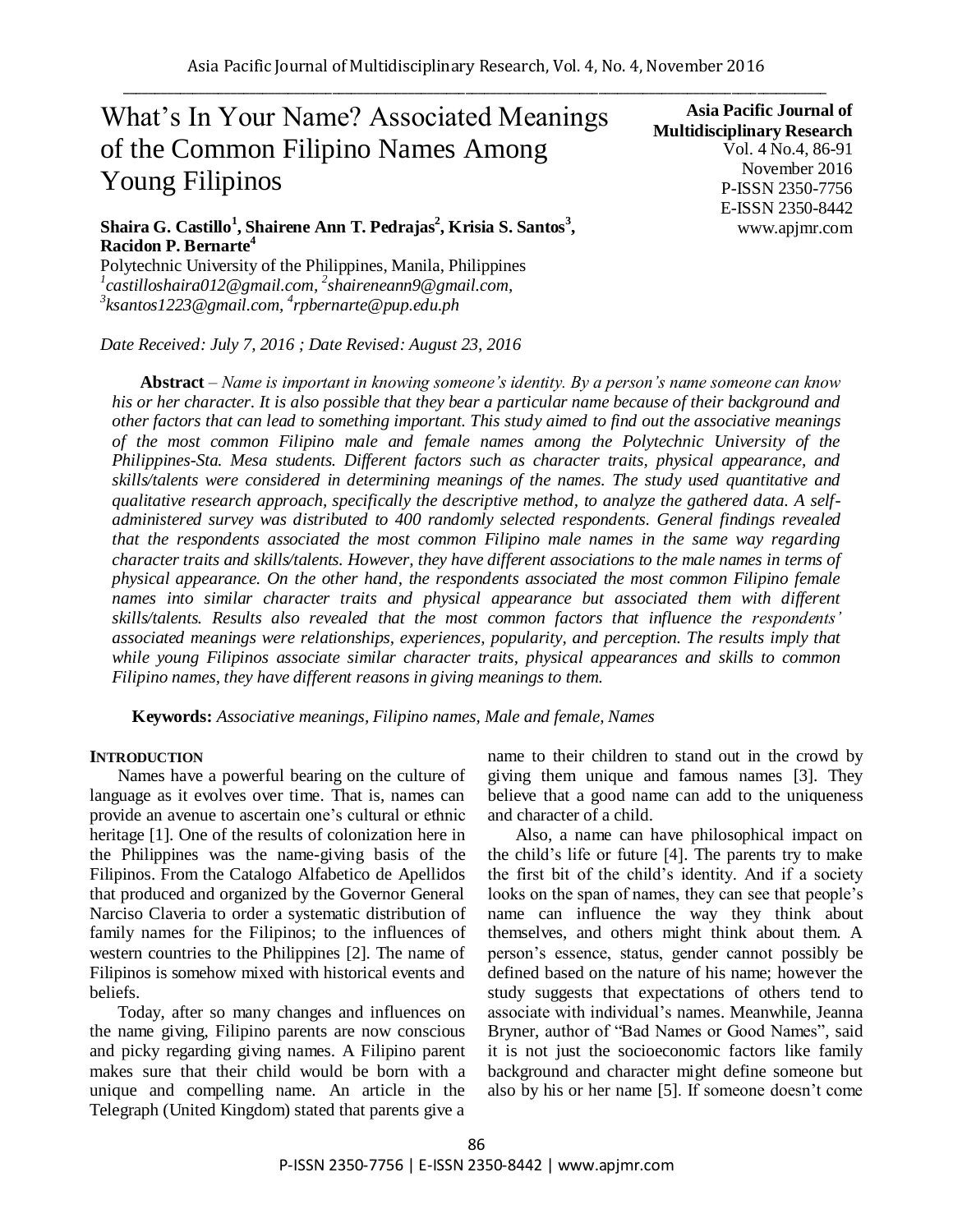# What's In Your Name? Associated Meanings of the Common Filipino Names Among Young Filipinos

**Asia Pacific Journal of Multidisciplinary Research** Vol. 4 No.4, 86-91 November 2016 P-ISSN 2350-7756 E-ISSN 2350-8442 www.apjmr.com

## **Shaira G. Castillo<sup>1</sup> , Shairene Ann T. Pedrajas<sup>2</sup> , Krisia S. Santos<sup>3</sup> , Racidon P. Bernarte<sup>4</sup>**

Polytechnic University of the Philippines, Manila, Philippines *1 castilloshaira012@gmail.com, 2 shaireneann9@gmail.com, 3 ksantos1223@gmail.com, <sup>4</sup> rpbernarte@pup.edu.ph*

*Date Received: July 7, 2016 ; Date Revised: August 23, 2016*

**Abstract** *– Name is important in knowing someone's identity. By a person's name someone can know his or her character. It is also possible that they bear a particular name because of their background and other factors that can lead to something important. This study aimed to find out the associative meanings of the most common Filipino male and female names among the Polytechnic University of the Philippines-Sta. Mesa students. Different factors such as character traits, physical appearance, and skills/talents were considered in determining meanings of the names. The study used quantitative and qualitative research approach, specifically the descriptive method, to analyze the gathered data. A selfadministered survey was distributed to 400 randomly selected respondents. General findings revealed that the respondents associated the most common Filipino male names in the same way regarding character traits and skills/talents. However, they have different associations to the male names in terms of physical appearance. On the other hand, the respondents associated the most common Filipino female*  names into similar character traits and physical appearance but associated them with different *skills/talents. Results also revealed that the most common factors that influence the respondents' associated meanings were relationships, experiences, popularity, and perception. The results imply that while young Filipinos associate similar character traits, physical appearances and skills to common Filipino names, they have different reasons in giving meanings to them.*

**Keywords:** *Associative meanings, Filipino names, Male and female, Names*

#### **INTRODUCTION**

Names have a powerful bearing on the culture of language as it evolves over time. That is, names can provide an avenue to ascertain one's cultural or ethnic heritage [1]. One of the results of colonization here in the Philippines was the name-giving basis of the Filipinos. From the Catalogo Alfabetico de Apellidos that produced and organized by the Governor General Narciso Claveria to order a systematic distribution of family names for the Filipinos; to the influences of western countries to the Philippines [2]. The name of Filipinos is somehow mixed with historical events and beliefs.

Today, after so many changes and influences on the name giving, Filipino parents are now conscious and picky regarding giving names. A Filipino parent makes sure that their child would be born with a unique and compelling name. An article in the Telegraph (United Kingdom) stated that parents give a name to their children to stand out in the crowd by giving them unique and famous names [3]. They believe that a good name can add to the uniqueness and character of a child.

Also, a name can have philosophical impact on the child's life or future [4]. The parents try to make the first bit of the child's identity. And if a society looks on the span of names, they can see that people's name can influence the way they think about themselves, and others might think about them. A person's essence, status, gender cannot possibly be defined based on the nature of his name; however the study suggests that expectations of others tend to associate with individual's names. Meanwhile, Jeanna Bryner, author of "Bad Names or Good Names", said it is not just the socioeconomic factors like family background and character might define someone but also by his or her name [5]. If someone doesn't come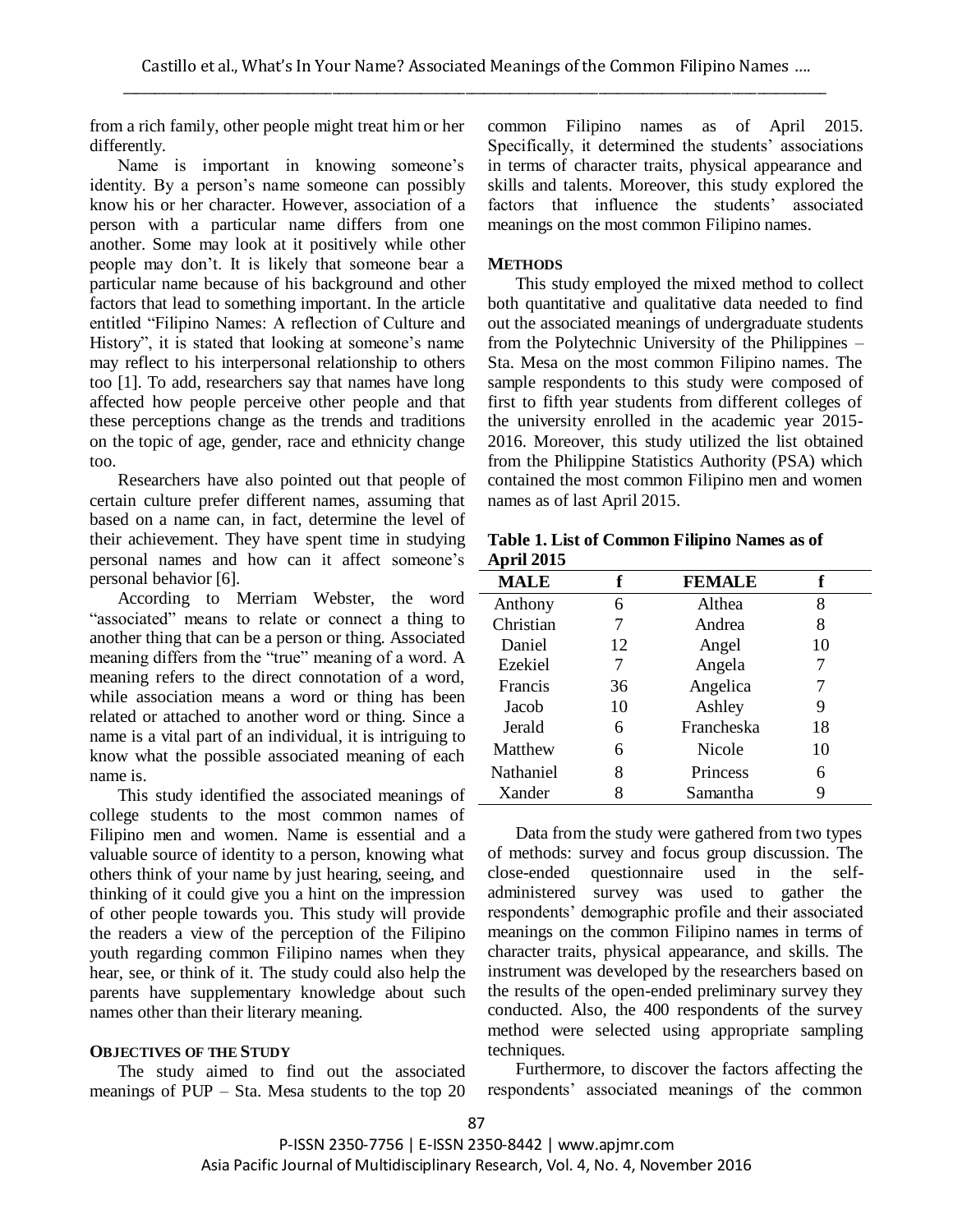from a rich family, other people might treat him or her differently.

Name is important in knowing someone's identity. By a person's name someone can possibly know his or her character. However, association of a person with a particular name differs from one another. Some may look at it positively while other people may don't. It is likely that someone bear a particular name because of his background and other factors that lead to something important. In the article entitled "Filipino Names: A reflection of Culture and History", it is stated that looking at someone's name may reflect to his interpersonal relationship to others too [1]. To add, researchers say that names have long affected how people perceive other people and that these perceptions change as the trends and traditions on the topic of age, gender, race and ethnicity change too.

Researchers have also pointed out that people of certain culture prefer different names, assuming that based on a name can, in fact, determine the level of their achievement. They have spent time in studying personal names and how can it affect someone's personal behavior [6].

According to Merriam Webster, the word "associated" means to relate or connect a thing to another thing that can be a person or thing. Associated meaning differs from the "true" meaning of a word. A meaning refers to the direct connotation of a word, while association means a word or thing has been related or attached to another word or thing. Since a name is a vital part of an individual, it is intriguing to know what the possible associated meaning of each name is.

This study identified the associated meanings of college students to the most common names of Filipino men and women. Name is essential and a valuable source of identity to a person, knowing what others think of your name by just hearing, seeing, and thinking of it could give you a hint on the impression of other people towards you. This study will provide the readers a view of the perception of the Filipino youth regarding common Filipino names when they hear, see, or think of it. The study could also help the parents have supplementary knowledge about such names other than their literary meaning.

## **OBJECTIVES OF THE STUDY**

The study aimed to find out the associated meanings of PUP – Sta. Mesa students to the top 20 common Filipino names as of April 2015. Specifically, it determined the students' associations in terms of character traits, physical appearance and skills and talents. Moreover, this study explored the factors that influence the students' associated meanings on the most common Filipino names.

#### **METHODS**

This study employed the mixed method to collect both quantitative and qualitative data needed to find out the associated meanings of undergraduate students from the Polytechnic University of the Philippines – Sta. Mesa on the most common Filipino names. The sample respondents to this study were composed of first to fifth year students from different colleges of the university enrolled in the academic year 2015- 2016. Moreover, this study utilized the list obtained from the Philippine Statistics Authority (PSA) which contained the most common Filipino men and women names as of last April 2015.

| Table 1. List of Common Filipino Names as of |  |
|----------------------------------------------|--|
| <b>April 2015</b>                            |  |

| <b>MALE</b>    | f  | <b>FEMALE</b> | f  |
|----------------|----|---------------|----|
| Anthony        | 6  | Althea        | 8  |
| Christian      |    | Andrea        | 8  |
| Daniel         | 12 | Angel         | 10 |
| Ezekiel        |    | Angela        |    |
| <b>Francis</b> | 36 | Angelica      |    |
| Jacob          | 10 | Ashley        | 9  |
| Jerald         | 6  | Francheska    | 18 |
| Matthew        | 6  | Nicole        | 10 |
| Nathaniel      | 8  | Princess      | 6  |
| Xander         | 8  | Samantha      | 9  |

Data from the study were gathered from two types of methods: survey and focus group discussion. The close-ended questionnaire used in the selfadministered survey was used to gather the respondents' demographic profile and their associated meanings on the common Filipino names in terms of character traits, physical appearance, and skills. The instrument was developed by the researchers based on the results of the open-ended preliminary survey they conducted. Also, the 400 respondents of the survey method were selected using appropriate sampling techniques.

Furthermore, to discover the factors affecting the respondents' associated meanings of the common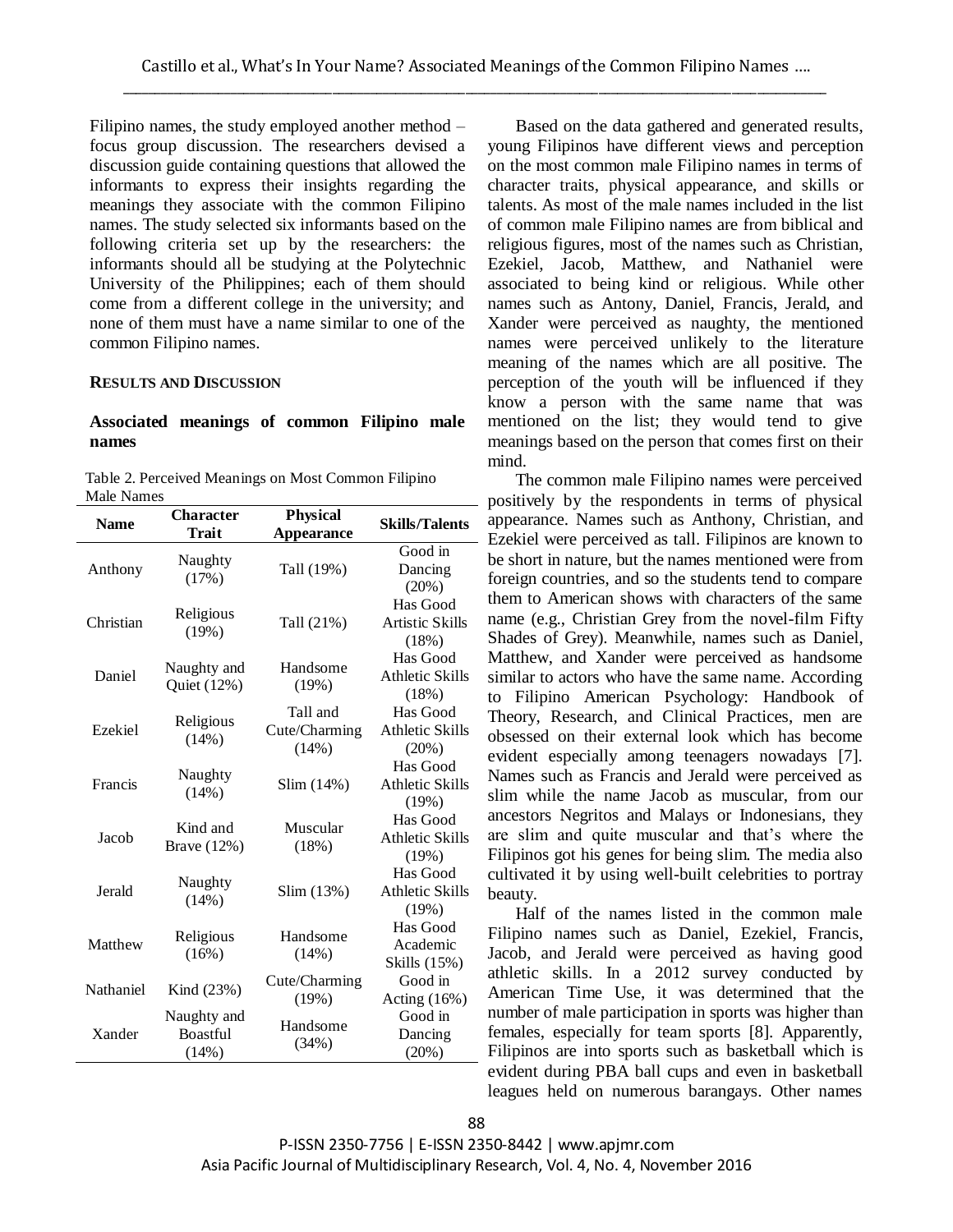Filipino names, the study employed another method – focus group discussion. The researchers devised a discussion guide containing questions that allowed the informants to express their insights regarding the meanings they associate with the common Filipino names. The study selected six informants based on the following criteria set up by the researchers: the informants should all be studying at the Polytechnic University of the Philippines; each of them should come from a different college in the university; and none of them must have a name similar to one of the common Filipino names.

#### **RESULTS AND DISCUSSION**

## **Associated meanings of common Filipino male names**

Table 2. Perceived Meanings on Most Common Filipino Male Names

| <b>Name</b> | <b>Character</b><br><b>Trait</b>        | <b>Physical</b>                    | <b>Skills/Talents</b>                          |
|-------------|-----------------------------------------|------------------------------------|------------------------------------------------|
|             |                                         | <b>Appearance</b>                  |                                                |
| Anthony     | Naughty<br>(17%)                        | Tall (19%)                         | Good in<br>Dancing<br>(20%)                    |
| Christian   | Religious<br>(19%)                      | Tall (21%)                         | Has Good<br><b>Artistic Skills</b><br>(18%)    |
| Daniel      | Naughty and<br>Quiet (12%)              | Handsome<br>(19%)                  | Has Good<br><b>Athletic Skills</b><br>(18%)    |
| Ezekiel     | Religious<br>(14%)                      | Tall and<br>Cute/Charming<br>(14%) | Has Good<br><b>Athletic Skills</b><br>$(20\%)$ |
| Francis     | Naughty<br>(14%)                        | Slim (14%)                         | Has Good<br><b>Athletic Skills</b><br>(19%)    |
| Jacob       | Kind and<br>Brave (12%)                 | Muscular<br>(18%)                  | Has Good<br><b>Athletic Skills</b><br>(19%)    |
| Jerald      | Naughty<br>(14%)                        | Slim (13%)                         | Has Good<br><b>Athletic Skills</b><br>(19%)    |
| Matthew     | Religious<br>(16%)                      | Handsome<br>(14%)                  | Has Good<br>Academic<br>Skills (15%)           |
| Nathaniel   | Kind (23%)                              | Cute/Charming<br>(19%)             | Good in<br>Acting $(16%)$                      |
| Xander      | Naughty and<br><b>Boastful</b><br>(14%) | Handsome<br>(34%)                  | Good in<br>Dancing<br>(20%)                    |

Based on the data gathered and generated results, young Filipinos have different views and perception on the most common male Filipino names in terms of character traits, physical appearance, and skills or talents. As most of the male names included in the list of common male Filipino names are from biblical and religious figures, most of the names such as Christian, Ezekiel, Jacob, Matthew, and Nathaniel were associated to being kind or religious. While other names such as Antony, Daniel, Francis, Jerald, and Xander were perceived as naughty, the mentioned names were perceived unlikely to the literature meaning of the names which are all positive. The perception of the youth will be influenced if they know a person with the same name that was mentioned on the list; they would tend to give meanings based on the person that comes first on their mind.

The common male Filipino names were perceived positively by the respondents in terms of physical appearance. Names such as Anthony, Christian, and Ezekiel were perceived as tall. Filipinos are known to be short in nature, but the names mentioned were from foreign countries, and so the students tend to compare them to American shows with characters of the same name (e.g., Christian Grey from the novel-film Fifty Shades of Grey). Meanwhile, names such as Daniel, Matthew, and Xander were perceived as handsome similar to actors who have the same name. According to Filipino American Psychology: Handbook of Theory, Research, and Clinical Practices, men are obsessed on their external look which has become evident especially among teenagers nowadays [7]. Names such as Francis and Jerald were perceived as slim while the name Jacob as muscular, from our ancestors Negritos and Malays or Indonesians, they are slim and quite muscular and that's where the Filipinos got his genes for being slim. The media also cultivated it by using well-built celebrities to portray beauty.

Half of the names listed in the common male Filipino names such as Daniel, Ezekiel, Francis, Jacob, and Jerald were perceived as having good athletic skills. In a 2012 survey conducted by American Time Use, it was determined that the number of male participation in sports was higher than females, especially for team sports [8]. Apparently, Filipinos are into sports such as basketball which is evident during PBA ball cups and even in basketball leagues held on numerous barangays. Other names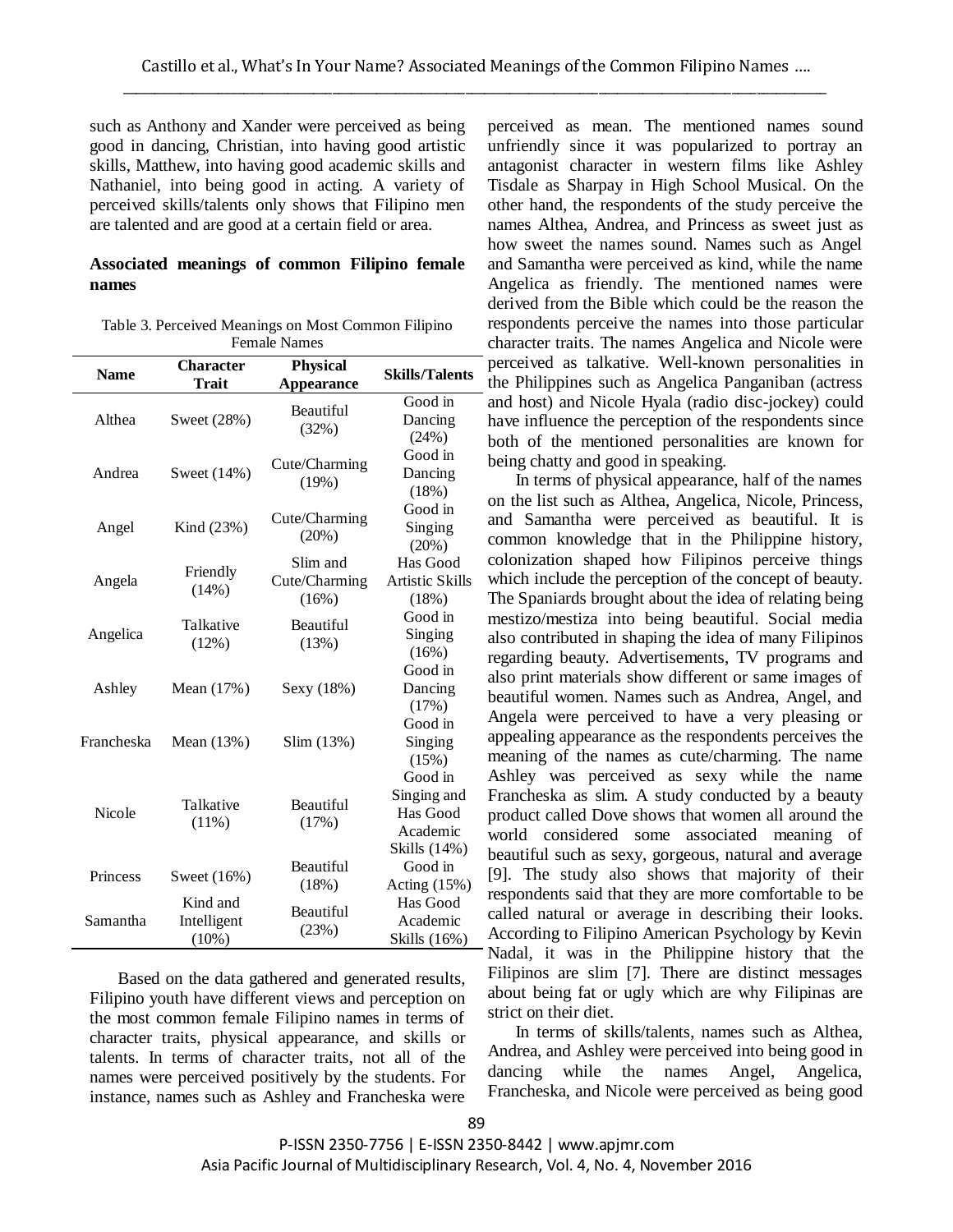such as Anthony and Xander were perceived as being good in dancing, Christian, into having good artistic skills, Matthew, into having good academic skills and Nathaniel, into being good in acting. A variety of perceived skills/talents only shows that Filipino men are talented and are good at a certain field or area.

## **Associated meanings of common Filipino female names**

| Table 3. Perceived Meanings on Most Common Filipino |
|-----------------------------------------------------|
| <b>Female Names</b>                                 |

| <b>Name</b> | <b>Character</b><br><b>Trait</b> | <b>Physical</b><br>Appearance | <b>Skills/Talents</b>  |
|-------------|----------------------------------|-------------------------------|------------------------|
| Althea      | Sweet (28%)                      | <b>Beautiful</b><br>(32%)     | Good in                |
|             |                                  |                               | Dancing                |
|             |                                  |                               | (24%)                  |
|             |                                  | Cute/Charming                 | Good in                |
| Andrea      | Sweet (14%)                      | (19%)                         | Dancing                |
|             |                                  |                               | (18%)                  |
|             | Kind (23%)                       | Cute/Charming<br>(20%)        | Good in                |
| Angel       |                                  |                               | Singing                |
|             |                                  |                               | (20%)                  |
|             | Friendly                         | Slim and                      | Has Good               |
| Angela      | (14%)                            | Cute/Charming                 | <b>Artistic Skills</b> |
|             |                                  | (16%)                         | (18%)                  |
|             | Talkative<br>(12%)               | <b>Beautiful</b><br>(13%)     | Good in                |
| Angelica    |                                  |                               | Singing                |
|             |                                  |                               | (16%)                  |
|             |                                  |                               | Good in                |
| Ashley      | Mean $(17%)$                     | Sexy (18%)                    | Dancing                |
|             |                                  |                               | (17%)                  |
|             |                                  |                               | Good in                |
| Francheska  | Mean $(13%)$                     | Slim (13%)                    | Singing                |
|             |                                  |                               | (15%)                  |
|             |                                  |                               | Good in                |
| Nicole      | Talkative<br>$(11\%)$            | <b>Beautiful</b><br>(17%)     | Singing and            |
|             |                                  |                               | Has Good               |
|             |                                  |                               | Academic               |
|             |                                  |                               | Skills (14%)           |
| Princess    | Sweet $(16%)$                    | Beautiful                     | Good in                |
|             |                                  | (18%)                         | Acting (15%)           |
| Samantha    | Kind and<br>Intelligent          | Beautiful<br>(23%)            | Has Good               |
|             |                                  |                               | Academic               |
|             | $(10\%)$                         |                               | Skills (16%)           |

Based on the data gathered and generated results, Filipino youth have different views and perception on the most common female Filipino names in terms of character traits, physical appearance, and skills or talents. In terms of character traits, not all of the names were perceived positively by the students. For instance, names such as Ashley and Francheska were perceived as mean. The mentioned names sound unfriendly since it was popularized to portray an antagonist character in western films like Ashley Tisdale as Sharpay in High School Musical. On the other hand, the respondents of the study perceive the names Althea, Andrea, and Princess as sweet just as how sweet the names sound. Names such as Angel and Samantha were perceived as kind, while the name Angelica as friendly. The mentioned names were derived from the Bible which could be the reason the respondents perceive the names into those particular character traits. The names Angelica and Nicole were perceived as talkative. Well-known personalities in the Philippines such as Angelica Panganiban (actress and host) and Nicole Hyala (radio disc-jockey) could have influence the perception of the respondents since both of the mentioned personalities are known for being chatty and good in speaking.

In terms of physical appearance, half of the names on the list such as Althea, Angelica, Nicole, Princess, and Samantha were perceived as beautiful. It is common knowledge that in the Philippine history, colonization shaped how Filipinos perceive things which include the perception of the concept of beauty. The Spaniards brought about the idea of relating being mestizo/mestiza into being beautiful. Social media also contributed in shaping the idea of many Filipinos regarding beauty. Advertisements, TV programs and also print materials show different or same images of beautiful women. Names such as Andrea, Angel, and Angela were perceived to have a very pleasing or appealing appearance as the respondents perceives the meaning of the names as cute/charming. The name Ashley was perceived as sexy while the name Francheska as slim. A study conducted by a beauty product called Dove shows that women all around the world considered some associated meaning of beautiful such as sexy, gorgeous, natural and average [9]. The study also shows that majority of their respondents said that they are more comfortable to be called natural or average in describing their looks. According to Filipino American Psychology by Kevin Nadal, it was in the Philippine history that the Filipinos are slim [7]. There are distinct messages about being fat or ugly which are why Filipinas are strict on their diet.

In terms of skills/talents, names such as Althea, Andrea, and Ashley were perceived into being good in dancing while the names Angel, Angelica, Francheska, and Nicole were perceived as being good

P-ISSN 2350-7756 | E-ISSN 2350-8442 | www.apjmr.com Asia Pacific Journal of Multidisciplinary Research, Vol. 4, No. 4, November 2016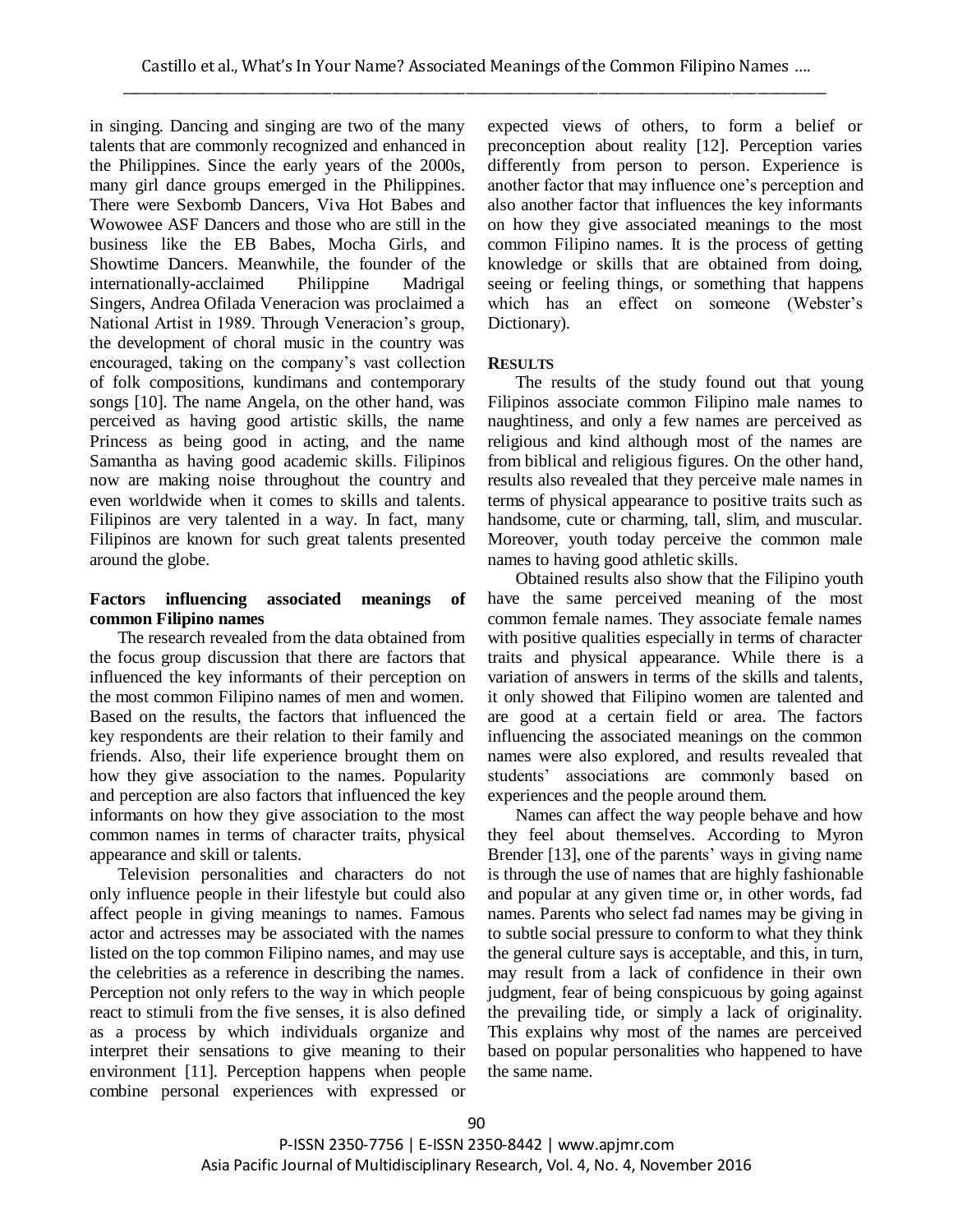in singing. Dancing and singing are two of the many talents that are commonly recognized and enhanced in the Philippines. Since the early years of the 2000s, many girl dance groups emerged in the Philippines. There were Sexbomb Dancers, Viva Hot Babes and Wowowee ASF Dancers and those who are still in the business like the EB Babes, Mocha Girls, and Showtime Dancers. Meanwhile, the founder of the internationally-acclaimed Philippine Madrigal Singers, Andrea Ofilada Veneracion was proclaimed a National Artist in 1989. Through Veneracion's group, the development of choral music in the country was encouraged, taking on the company's vast collection of folk compositions, kundimans and contemporary songs [10]. The name Angela, on the other hand, was perceived as having good artistic skills, the name Princess as being good in acting, and the name Samantha as having good academic skills. Filipinos now are making noise throughout the country and even worldwide when it comes to skills and talents. Filipinos are very talented in a way. In fact, many Filipinos are known for such great talents presented around the globe.

## **Factors influencing associated meanings of common Filipino names**

The research revealed from the data obtained from the focus group discussion that there are factors that influenced the key informants of their perception on the most common Filipino names of men and women. Based on the results, the factors that influenced the key respondents are their relation to their family and friends. Also, their life experience brought them on how they give association to the names. Popularity and perception are also factors that influenced the key informants on how they give association to the most common names in terms of character traits, physical appearance and skill or talents.

Television personalities and characters do not only influence people in their lifestyle but could also affect people in giving meanings to names. Famous actor and actresses may be associated with the names listed on the top common Filipino names, and may use the celebrities as a reference in describing the names. Perception not only refers to the way in which people react to stimuli from the five senses, it is also defined as a process by which individuals organize and interpret their sensations to give meaning to their environment [11]. Perception happens when people combine personal experiences with expressed or expected views of others, to form a belief or preconception about reality [12]. Perception varies differently from person to person. Experience is another factor that may influence one's perception and also another factor that influences the key informants on how they give associated meanings to the most common Filipino names. It is the process of getting knowledge or skills that are obtained from doing, seeing or feeling things, or something that happens which has an effect on someone (Webster's Dictionary).

## **RESULTS**

The results of the study found out that young Filipinos associate common Filipino male names to naughtiness, and only a few names are perceived as religious and kind although most of the names are from biblical and religious figures. On the other hand, results also revealed that they perceive male names in terms of physical appearance to positive traits such as handsome, cute or charming, tall, slim, and muscular. Moreover, youth today perceive the common male names to having good athletic skills.

Obtained results also show that the Filipino youth have the same perceived meaning of the most common female names. They associate female names with positive qualities especially in terms of character traits and physical appearance. While there is a variation of answers in terms of the skills and talents, it only showed that Filipino women are talented and are good at a certain field or area. The factors influencing the associated meanings on the common names were also explored, and results revealed that students' associations are commonly based on experiences and the people around them.

Names can affect the way people behave and how they feel about themselves. According to Myron Brender [13], one of the parents' ways in giving name is through the use of names that are highly fashionable and popular at any given time or, in other words, fad names. Parents who select fad names may be giving in to subtle social pressure to conform to what they think the general culture says is acceptable, and this, in turn, may result from a lack of confidence in their own judgment, fear of being conspicuous by going against the prevailing tide, or simply a lack of originality. This explains why most of the names are perceived based on popular personalities who happened to have the same name.